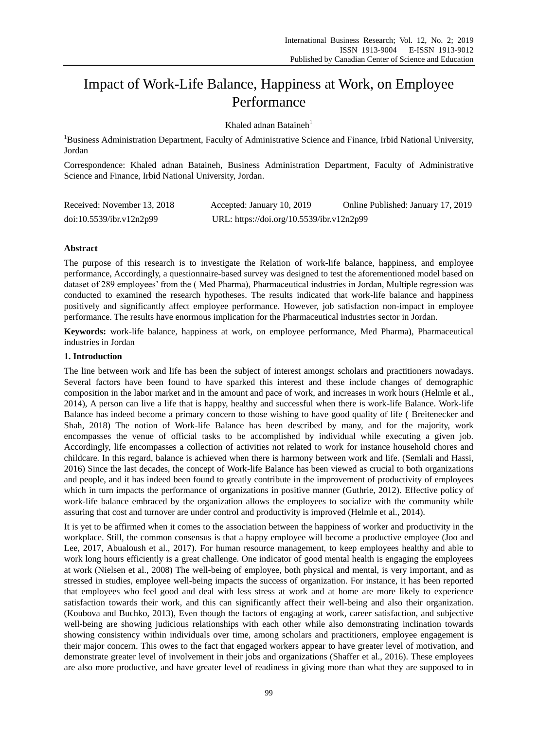# Impact of Work-Life Balance, Happiness at Work, on Employee Performance

Khaled adnan Bataineh<sup>1</sup>

<sup>1</sup>Business Administration Department, Faculty of Administrative Science and Finance, Irbid National University, Jordan

Correspondence: Khaled adnan Bataineh, Business Administration Department, Faculty of Administrative Science and Finance, Irbid National University, Jordan.

| Received: November 13, 2018 | Accepted: January 10, 2019                | Online Published: January 17, 2019 |
|-----------------------------|-------------------------------------------|------------------------------------|
| doi:10.5539/ibr.v12n2p99    | URL: https://doi.org/10.5539/ibr.v12n2p99 |                                    |

# **Abstract**

The purpose of this research is to investigate the Relation of work-life balance, happiness, and employee performance, Accordingly, a questionnaire-based survey was designed to test the aforementioned model based on dataset of 289 employees' from the ( Med Pharma), Pharmaceutical industries in Jordan, Multiple regression was conducted to examined the research hypotheses. The results indicated that work-life balance and happiness positively and significantly affect employee performance. However, job satisfaction non-impact in employee performance. The results have enormous implication for the Pharmaceutical industries sector in Jordan.

**Keywords:** work-life balance, happiness at work, on employee performance, Med Pharma), Pharmaceutical industries in Jordan

# **1. Introduction**

The line between work and life has been the subject of interest amongst scholars and practitioners nowadays. Several factors have been found to have sparked this interest and these include changes of demographic composition in the labor market and in the amount and pace of work, and increases in work hours (Helmle et al., 2014), A person can live a life that is happy, healthy and successful when there is work-life Balance. Work-life Balance has indeed become a primary concern to those wishing to have good quality of life ( [Breitenecker](https://www.emeraldinsight.com/author/Breitenecker%2C+Robert+J) and [Shah,](https://www.emeraldinsight.com/author/Shah%2C+Syed+Afzal+Moshadi) 2018) The notion of Work-life Balance has been described by many, and for the majority, work encompasses the venue of official tasks to be accomplished by individual while executing a given job. Accordingly, life encompasses a collection of activities not related to work for instance household chores and childcare. In this regard, balance is achieved when there is harmony between work and life. [\(Semlali](https://www.emeraldinsight.com/author/Semlali%2C+Salma) and [Hassi,](https://www.emeraldinsight.com/author/Hassi%2C+Abderrahman) 2016) Since the last decades, the concept of Work-life Balance has been viewed as crucial to both organizations and people, and it has indeed been found to greatly contribute in the improvement of productivity of employees which in turn impacts the performance of organizations in positive manner (Guthrie, 2012). Effective policy of work-life balance embraced by the organization allows the employees to socialize with the community while assuring that cost and turnover are under control and productivity is improved (Helmle et al., 2014).

It is yet to be affirmed when it comes to the association between the happiness of worker and productivity in the workplace. Still, the common consensus is that a happy employee will become a productive employee (Joo and Lee, 2017, Abualoush et al., 2017). For human resource management, to keep employees healthy and able to work long hours efficiently is a great challenge. One indicator of good mental health is engaging the employees at work (Nielsen et al., 2008) The well-being of employee, both physical and mental, is very important, and as stressed in studies, employee well-being impacts the success of organization. For instance, it has been reported that employees who feel good and deal with less stress at work and at home are more likely to experience satisfaction towards their work, and this can significantly affect their well-being and also their organization. (Koubova and Buchko, 2013), Even though the factors of engaging at work, career satisfaction, and subjective well-being are showing judicious relationships with each other while also demonstrating inclination towards showing consistency within individuals over time, among scholars and practitioners, employee engagement is their major concern. This owes to the fact that engaged workers appear to have greater level of motivation, and demonstrate greater level of involvement in their jobs and organizations (Shaffer et al., 2016). These employees are also more productive, and have greater level of readiness in giving more than what they are supposed to in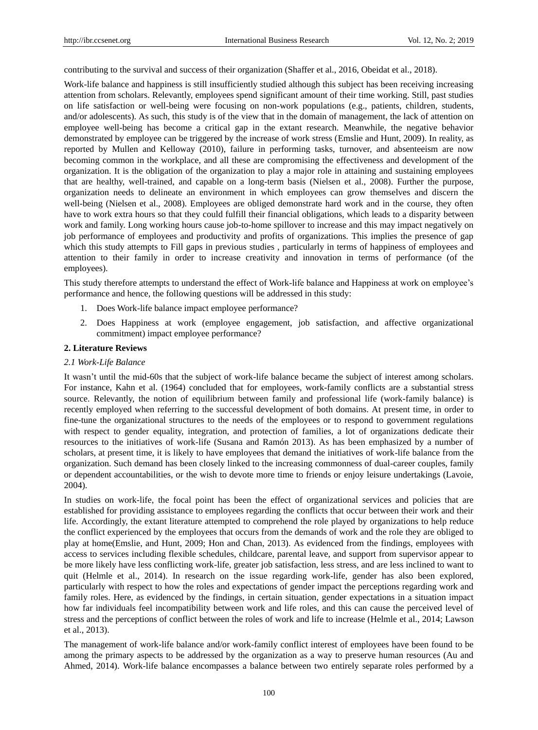contributing to the survival and success of their organization (Shaffer et al., 2016, Obeidat et al., 2018).

Work-life balance and happiness is still insufficiently studied although this subject has been receiving increasing attention from scholars. Relevantly, employees spend significant amount of their time working. Still, past studies on life satisfaction or well-being were focusing on non-work populations (e.g., patients, children, students, and/or adolescents). As such, this study is of the view that in the domain of management, the lack of attention on employee well-being has become a critical gap in the extant research. Meanwhile, the negative behavior demonstrated by employee can be triggered by the increase of work stress (Emslie and Hunt, 2009). In reality, as reported by Mullen and Kelloway (2010), failure in performing tasks, turnover, and absenteeism are now becoming common in the workplace, and all these are compromising the effectiveness and development of the organization. It is the obligation of the organization to play a major role in attaining and sustaining employees that are healthy, well-trained, and capable on a long-term basis (Nielsen et al., 2008). Further the purpose, organization needs to delineate an environment in which employees can grow themselves and discern the well-being (Nielsen et al., 2008). Employees are obliged demonstrate hard work and in the course, they often have to work extra hours so that they could fulfill their financial obligations, which leads to a disparity between work and family. Long working hours cause job-to-home spillover to increase and this may impact negatively on job performance of employees and productivity and profits of organizations. This implies the presence of gap which this study attempts to Fill gaps in previous studies , particularly in terms of happiness of employees and attention to their family in order to increase creativity and innovation in terms of performance (of the employees).

This study therefore attempts to understand the effect of Work-life balance and Happiness at work on employee's performance and hence, the following questions will be addressed in this study:

- 1. Does Work-life balance impact employee performance?
- 2. Does Happiness at work (employee engagement, job satisfaction, and affective organizational commitment) impact employee performance?

#### **2. Literature Reviews**

#### *2.1 Work-Life Balance*

It wasn't until the mid-60s that the subject of work-life balance became the subject of interest among scholars. For instance, Kahn et al. (1964) concluded that for employees, work-family conflicts are a substantial stress source. Relevantly, the notion of equilibrium between family and professional life (work-family balance) is recently employed when referring to the successful development of both domains. At present time, in order to fine-tune the organizational structures to the needs of the employees or to respond to government regulations with respect to gender equality, integration, and protection of families, a lot of organizations dedicate their resources to the initiatives of work-life (Susana and Ramón 2013). As has been emphasized by a number of scholars, at present time, it is likely to have employees that demand the initiatives of work-life balance from the organization. Such demand has been closely linked to the increasing commonness of dual-career couples, family or dependent accountabilities, or the wish to devote more time to friends or enjoy leisure undertakings (Lavoie, 2004).

In studies on work-life, the focal point has been the effect of organizational services and policies that are established for providing assistance to employees regarding the conflicts that occur between their work and their life. Accordingly, the extant literature attempted to comprehend the role played by organizations to help reduce the conflict experienced by the employees that occurs from the demands of work and the role they are obliged to play at home(Emslie, and Hunt, 2009; Hon and Chan, 2013). As evidenced from the findings, employees with access to services including flexible schedules, childcare, parental leave, and support from supervisor appear to be more likely have less conflicting work-life, greater job satisfaction, less stress, and are less inclined to want to quit (Helmle et al., 2014). In research on the issue regarding work-life, gender has also been explored, particularly with respect to how the roles and expectations of gender impact the perceptions regarding work and family roles. Here, as evidenced by the findings, in certain situation, gender expectations in a situation impact how far individuals feel incompatibility between work and life roles, and this can cause the perceived level of stress and the perceptions of conflict between the roles of work and life to increase (Helmle et al., 2014; Lawson et al., 2013).

The management of work-life balance and/or work-family conflict interest of employees have been found to be among the primary aspects to be addressed by the organization as a way to preserve human resources (Au and Ahmed, 2014). Work-life balance encompasses a balance between two entirely separate roles performed by a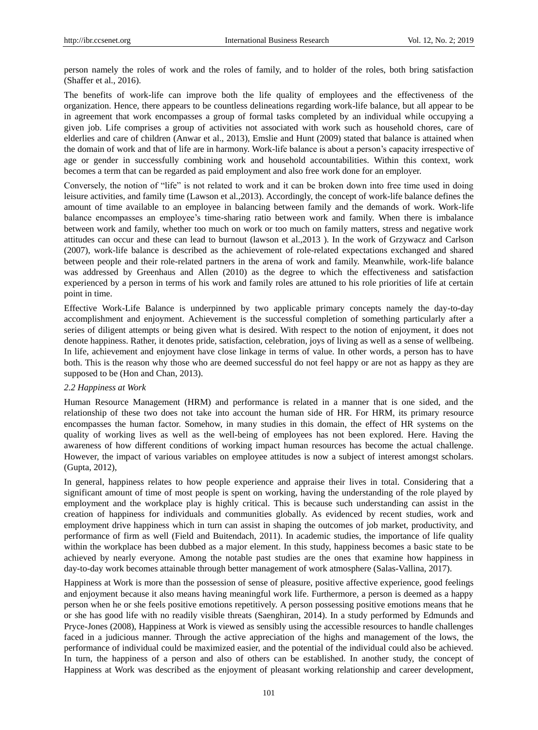person namely the roles of work and the roles of family, and to holder of the roles, both bring satisfaction (Shaffer et al., 2016).

The benefits of work-life can improve both the life quality of employees and the effectiveness of the organization. Hence, there appears to be countless delineations regarding work-life balance, but all appear to be in agreement that work encompasses a group of formal tasks completed by an individual while occupying a given job. Life comprises a group of activities not associated with work such as household chores, care of elderlies and care of children (Anwar et al., 2013), Emslie and Hunt (2009) stated that balance is attained when the domain of work and that of life are in harmony. Work-life balance is about a person's capacity irrespective of age or gender in successfully combining work and household accountabilities. Within this context, work becomes a term that can be regarded as paid employment and also free work done for an employer.

Conversely, the notion of "life" is not related to work and it can be broken down into free time used in doing leisure activities, and family time (Lawson et al.,2013). Accordingly, the concept of work-life balance defines the amount of time available to an employee in balancing between family and the demands of work. Work-life balance encompasses an employee's time-sharing ratio between work and family. When there is imbalance between work and family, whether too much on work or too much on family matters, stress and negative work attitudes can occur and these can lead to burnout (lawson et al.,2013 ). In the work of Grzywacz and Carlson (2007), work-life balance is described as the achievement of role-related expectations exchanged and shared between people and their role-related partners in the arena of work and family. Meanwhile, work-life balance was addressed by Greenhaus and Allen (2010) as the degree to which the effectiveness and satisfaction experienced by a person in terms of his work and family roles are attuned to his role priorities of life at certain point in time.

Effective Work-Life Balance is underpinned by two applicable primary concepts namely the day-to-day accomplishment and enjoyment. Achievement is the successful completion of something particularly after a series of diligent attempts or being given what is desired. With respect to the notion of enjoyment, it does not denote happiness. Rather, it denotes pride, satisfaction, celebration, joys of living as well as a sense of wellbeing. In life, achievement and enjoyment have close linkage in terms of value. In other words, a person has to have both. This is the reason why those who are deemed successful do not feel happy or are not as happy as they are supposed to be (Hon and Chan, 2013).

#### *2.2 Happiness at Work*

Human Resource Management (HRM) and performance is related in a manner that is one sided, and the relationship of these two does not take into account the human side of HR. For HRM, its primary resource encompasses the human factor. Somehow, in many studies in this domain, the effect of HR systems on the quality of working lives as well as the well-being of employees has not been explored. Here. Having the awareness of how different conditions of working impact human resources has become the actual challenge. However, the impact of various variables on employee attitudes is now a subject of interest amongst scholars. (Gupta, 2012),

In general, happiness relates to how people experience and appraise their lives in total. Considering that a significant amount of time of most people is spent on working, having the understanding of the role played by employment and the workplace play is highly critical. This is because such understanding can assist in the creation of happiness for individuals and communities globally. As evidenced by recent studies, work and employment drive happiness which in turn can assist in shaping the outcomes of job market, productivity, and performance of firm as well (Field and Buitendach, 2011). In academic studies, the importance of life quality within the workplace has been dubbed as a major element. In this study, happiness becomes a basic state to be achieved by nearly everyone. Among the notable past studies are the ones that examine how happiness in day-to-day work becomes attainable through better management of work atmosphere (Salas-Vallina, 2017).

Happiness at Work is more than the possession of sense of pleasure, positive affective experience, good feelings and enjoyment because it also means having meaningful work life. Furthermore, a person is deemed as a happy person when he or she feels positive emotions repetitively. A person possessing positive emotions means that he or she has good life with no readily visible threats (Saenghiran, 2014). In a study performed by Edmunds and Pryce-Jones (2008), Happiness at Work is viewed as sensibly using the accessible resources to handle challenges faced in a judicious manner. Through the active appreciation of the highs and management of the lows, the performance of individual could be maximized easier, and the potential of the individual could also be achieved. In turn, the happiness of a person and also of others can be established. In another study, the concept of Happiness at Work was described as the enjoyment of pleasant working relationship and career development,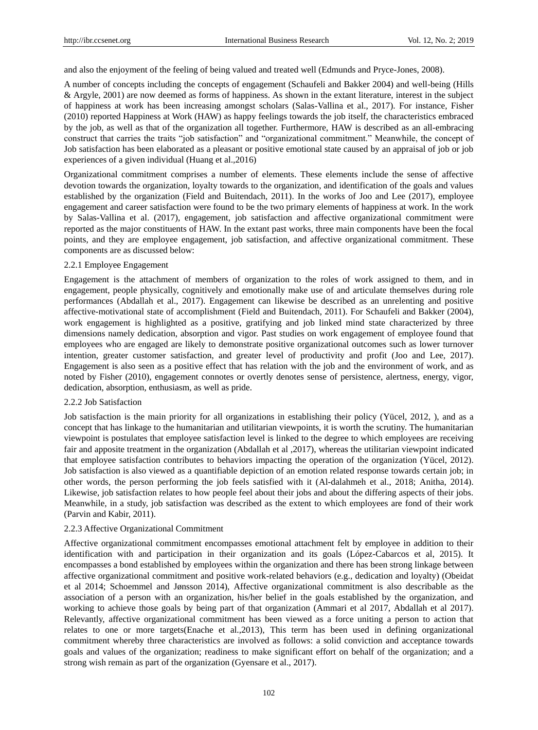and also the enjoyment of the feeling of being valued and treated well (Edmunds and Pryce-Jones, 2008).

A number of concepts including the concepts of engagement (Schaufeli and Bakker 2004) and well-being (Hills & Argyle, 2001) are now deemed as forms of happiness. As shown in the extant literature, interest in the subject of happiness at work has been increasing amongst scholars (Salas-Vallina et al., 2017). For instance, Fisher (2010) reported Happiness at Work (HAW) as happy feelings towards the job itself, the characteristics embraced by the job, as well as that of the organization all together. Furthermore, HAW is described as an all-embracing construct that carries the traits "job satisfaction" and "organizational commitment." Meanwhile, the concept of Job satisfaction has been elaborated as a pleasant or positive emotional state caused by an appraisal of job or job experiences of a given individual (Huang et al.,2016)

Organizational commitment comprises a number of elements. These elements include the sense of affective devotion towards the organization, loyalty towards to the organization, and identification of the goals and values established by the organization (Field and Buitendach, 2011). In the works of Joo and Lee (2017), employee engagement and career satisfaction were found to be the two primary elements of happiness at work. In the work by Salas-Vallina et al. (2017), engagement, job satisfaction and affective organizational commitment were reported as the major constituents of HAW. In the extant past works, three main components have been the focal points, and they are employee engagement, job satisfaction, and affective organizational commitment. These components are as discussed below:

#### 2.2.1 Employee Engagement

Engagement is the attachment of members of organization to the roles of work assigned to them, and in engagement, people physically, cognitively and emotionally make use of and articulate themselves during role performances (Abdallah et al., 2017). Engagement can likewise be described as an unrelenting and positive affective-motivational state of accomplishment (Field and Buitendach, 2011). For Schaufeli and Bakker (2004), work engagement is highlighted as a positive, gratifying and job linked mind state characterized by three dimensions namely dedication, absorption and vigor. Past studies on work engagement of employee found that employees who are engaged are likely to demonstrate positive organizational outcomes such as lower turnover intention, greater customer satisfaction, and greater level of productivity and profit (Joo and Lee, 2017). Engagement is also seen as a positive effect that has relation with the job and the environment of work, and as noted by Fisher (2010), engagement connotes or overtly denotes sense of persistence, alertness, energy, vigor, dedication, absorption, enthusiasm, as well as pride.

#### 2.2.2 Job Satisfaction

Job satisfaction is the main priority for all organizations in establishing their policy (Yücel, 2012, ), and as a concept that has linkage to the humanitarian and utilitarian viewpoints, it is worth the scrutiny. The humanitarian viewpoint is postulates that employee satisfaction level is linked to the degree to which employees are receiving fair and apposite treatment in the organization (Abdallah et al ,2017), whereas the utilitarian viewpoint indicated that employee satisfaction contributes to behaviors impacting the operation of the organization (Yücel, 2012). Job satisfaction is also viewed as a quantifiable depiction of an emotion related response towards certain job; in other words, the person performing the job feels satisfied with it (Al-dalahmeh et al., 2018; Anitha, 2014). Likewise, job satisfaction relates to how people feel about their jobs and about the differing aspects of their jobs. Meanwhile, in a study, job satisfaction was described as the extent to which employees are fond of their work (Parvin and Kabir, 2011).

#### 2.2.3 Affective Organizational Commitment

Affective organizational commitment encompasses emotional attachment felt by employee in addition to their identification with and participation in their organization and its goals (López-Cabarcos et al, 2015). It encompasses a bond established by employees within the organization and there has been strong linkage between affective organizational commitment and positive work-related behaviors (e.g., dedication and loyalty) (Obeidat et al 2014; Schoemmel and Jønsson 2014), Affective organizational commitment is also describable as the association of a person with an organization, his/her belief in the goals established by the organization, and working to achieve those goals by being part of that organization (Ammari et al 2017, Abdallah et al 2017). Relevantly, affective organizational commitment has been viewed as a force uniting a person to action that relates to one or more targets(Enache et al.,2013), This term has been used in defining organizational commitment whereby three characteristics are involved as follows: a solid conviction and acceptance towards goals and values of the organization; readiness to make significant effort on behalf of the organization; and a strong wish remain as part of the organization (Gyensare et al., 2017).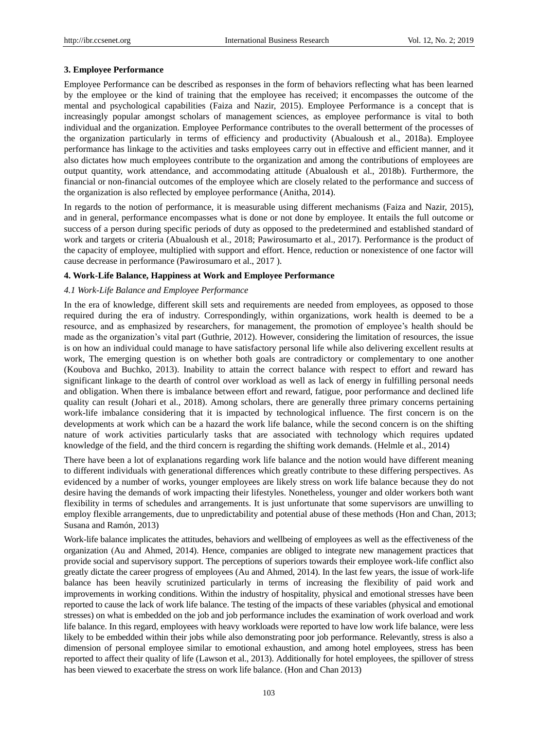# **3. Employee Performance**

Employee Performance can be described as responses in the form of behaviors reflecting what has been learned by the employee or the kind of training that the employee has received; it encompasses the outcome of the mental and psychological capabilities (Faiza and Nazir, 2015). Employee Performance is a concept that is increasingly popular amongst scholars of management sciences, as employee performance is vital to both individual and the organization. Employee Performance contributes to the overall betterment of the processes of the organization particularly in terms of efficiency and productivity (Abualoush et al., 2018a). Employee performance has linkage to the activities and tasks employees carry out in effective and efficient manner, and it also dictates how much employees contribute to the organization and among the contributions of employees are output quantity, work attendance, and accommodating attitude (Abualoush et al., 2018b). Furthermore, the financial or non-financial outcomes of the employee which are closely related to the performance and success of the organization is also reflected by employee performance (Anitha, 2014).

In regards to the notion of performance, it is measurable using different mechanisms (Faiza and Nazir, 2015), and in general, performance encompasses what is done or not done by employee. It entails the full outcome or success of a person during specific periods of duty as opposed to the predetermined and established standard of work and targets or criteria (Abualoush et al., 2018; Pawirosumarto et al., 2017). Performance is the product of the capacity of employee, multiplied with support and effort. Hence, reduction or nonexistence of one factor will cause decrease in performance (Pawirosumaro et al., 2017 ).

# **4. Work-Life Balance, Happiness at Work and Employee Performance**

# *4.1 Work-Life Balance and Employee Performance*

In the era of knowledge, different skill sets and requirements are needed from employees, as opposed to those required during the era of industry. Correspondingly, within organizations, work health is deemed to be a resource, and as emphasized by researchers, for management, the promotion of employee's health should be made as the organization's vital part (Guthrie, 2012). However, considering the limitation of resources, the issue is on how an individual could manage to have satisfactory personal life while also delivering excellent results at work, The emerging question is on whether both goals are contradictory or complementary to one another (Koubova and Buchko, 2013). Inability to attain the correct balance with respect to effort and reward has significant linkage to the dearth of control over workload as well as lack of energy in fulfilling personal needs and obligation. When there is imbalance between effort and reward, fatigue, poor performance and declined life quality can result [\(Johari](https://www.emeraldinsight.com/author/Johari%2C+Johanim) et al., 2018). Among scholars, there are generally three primary concerns pertaining work-life imbalance considering that it is impacted by technological influence. The first concern is on the developments at work which can be a hazard the work life balance, while the second concern is on the shifting nature of work activities particularly tasks that are associated with technology which requires updated knowledge of the field, and the third concern is regarding the shifting work demands. (Helmle et al., 2014)

There have been a lot of explanations regarding work life balance and the notion would have different meaning to different individuals with generational differences which greatly contribute to these differing perspectives. As evidenced by a number of works, younger employees are likely stress on work life balance because they do not desire having the demands of work impacting their lifestyles. Nonetheless, younger and older workers both want flexibility in terms of schedules and arrangements. It is just unfortunate that some supervisors are unwilling to employ flexible arrangements, due to unpredictability and potential abuse of these methods (Hon and Chan, 2013; Susana and Ramón, 2013)

Work-life balance implicates the attitudes, behaviors and wellbeing of employees as well as the effectiveness of the organization (Au and Ahmed, 2014). Hence, companies are obliged to integrate new management practices that provide social and supervisory support. The perceptions of superiors towards their employee work-life conflict also greatly dictate the career progress of employees (Au and Ahmed, 2014). In the last few years, the issue of work-life balance has been heavily scrutinized particularly in terms of increasing the flexibility of paid work and improvements in working conditions. Within the industry of hospitality, physical and emotional stresses have been reported to cause the lack of work life balance. The testing of the impacts of these variables (physical and emotional stresses) on what is embedded on the job and job performance includes the examination of work overload and work life balance. In this regard, employees with heavy workloads were reported to have low work life balance, were less likely to be embedded within their jobs while also demonstrating poor job performance. Relevantly, stress is also a dimension of personal employee similar to emotional exhaustion, and among hotel employees, stress has been reported to affect their quality of life (Lawson et al., 2013). Additionally for hotel employees, the spillover of stress has been viewed to exacerbate the stress on work life balance. (Hon and Chan 2013)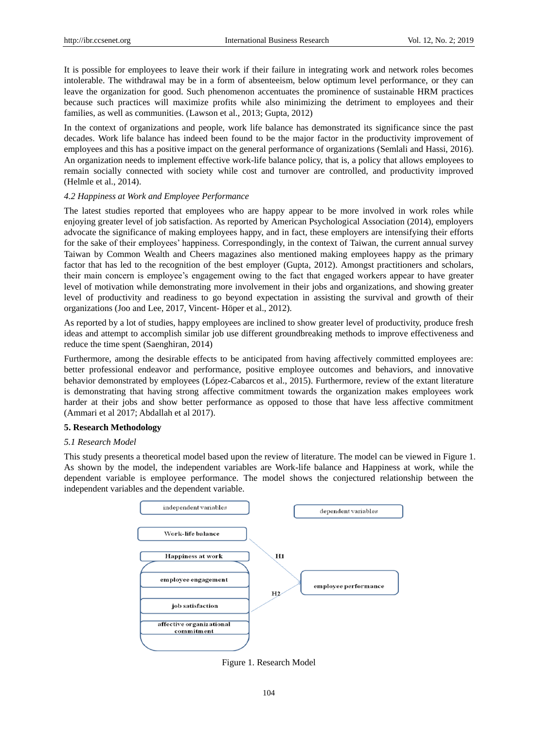It is possible for employees to leave their work if their failure in integrating work and network roles becomes intolerable. The withdrawal may be in a form of absenteeism, below optimum level performance, or they can leave the organization for good. Such phenomenon accentuates the prominence of sustainable HRM practices because such practices will maximize profits while also minimizing the detriment to employees and their families, as well as communities. (Lawson et al., 2013; Gupta, 2012)

In the context of organizations and people, work life balance has demonstrated its significance since the past decades. Work life balance has indeed been found to be the major factor in the productivity improvement of employees and this has a positive impact on the general performance of organizations [\(Semlali](https://www.emeraldinsight.com/author/Semlali%2C+Salma) and [Hassi,](https://www.emeraldinsight.com/author/Hassi%2C+Abderrahman) 2016). An organization needs to implement effective work-life balance policy, that is, a policy that allows employees to remain socially connected with society while cost and turnover are controlled, and productivity improved (Helmle et al., 2014).

# *4.2 Happiness at Work and Employee Performance*

The latest studies reported that employees who are happy appear to be more involved in work roles while enjoying greater level of job satisfaction. As reported by American Psychological Association (2014), employers advocate the significance of making employees happy, and in fact, these employers are intensifying their efforts for the sake of their employees' happiness. Correspondingly, in the context of Taiwan, the current annual survey Taiwan by Common Wealth and Cheers magazines also mentioned making employees happy as the primary factor that has led to the recognition of the best employer (Gupta, 2012). Amongst practitioners and scholars, their main concern is employee's engagement owing to the fact that engaged workers appear to have greater level of motivation while demonstrating more involvement in their jobs and organizations, and showing greater level of productivity and readiness to go beyond expectation in assisting the survival and growth of their organizations (Joo and Lee, 2017, Vincent- Höper et al., 2012).

As reported by a lot of studies, happy employees are inclined to show greater level of productivity, produce fresh ideas and attempt to accomplish similar job use different groundbreaking methods to improve effectiveness and reduce the time spent (Saenghiran, 2014)

Furthermore, among the desirable effects to be anticipated from having affectively committed employees are: better professional endeavor and performance, positive employee outcomes and behaviors, and innovative behavior demonstrated by employees (López-Cabarcos et al., 2015). Furthermore, review of the extant literature is demonstrating that having strong affective commitment towards the organization makes employees work harder at their jobs and show better performance as opposed to those that have less affective commitment (Ammari et al 2017; Abdallah et al 2017).

#### **5. Research Methodology**

#### *5.1 Research Model*

This study presents a theoretical model based upon the review of literature. The model can be viewed in Figure 1. As shown by the model, the independent variables are Work-life balance and Happiness at work, while the dependent variable is employee performance. The model shows the conjectured relationship between the independent variables and the dependent variable.



Figure 1. Research Model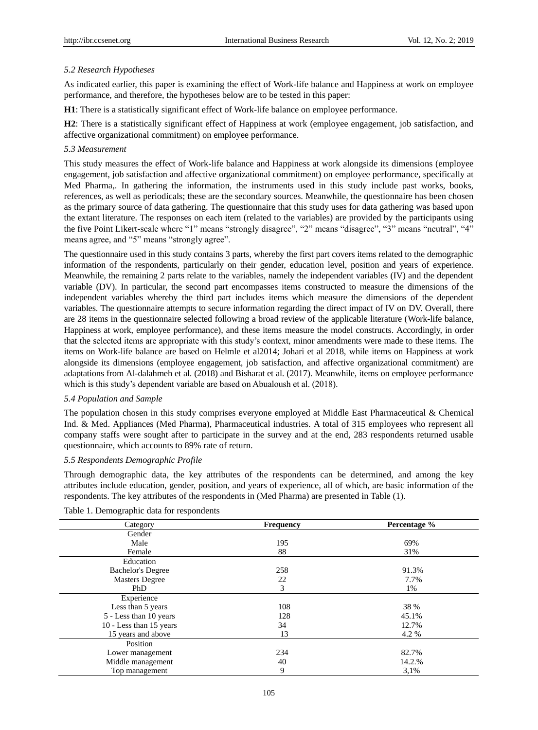# *5.2 Research Hypotheses*

As indicated earlier, this paper is examining the effect of Work-life balance and Happiness at work on employee performance, and therefore, the hypotheses below are to be tested in this paper:

**H1**: There is a statistically significant effect of Work-life balance on employee performance.

**H2**: There is a statistically significant effect of Happiness at work (employee engagement, job satisfaction, and affective organizational commitment) on employee performance.

#### *5.3 Measurement*

This study measures the effect of Work-life balance and Happiness at work alongside its dimensions (employee engagement, job satisfaction and affective organizational commitment) on employee performance, specifically at Med Pharma,. In gathering the information, the instruments used in this study include past works, books, references, as well as periodicals; these are the secondary sources. Meanwhile, the questionnaire has been chosen as the primary source of data gathering. The questionnaire that this study uses for data gathering was based upon the extant literature. The responses on each item (related to the variables) are provided by the participants using the five Point Likert-scale where "1" means "strongly disagree", "2" means "disagree", "3" means "neutral", "4" means agree, and "5" means "strongly agree".

The questionnaire used in this study contains 3 parts, whereby the first part covers items related to the demographic information of the respondents, particularly on their gender, education level, position and years of experience. Meanwhile, the remaining 2 parts relate to the variables, namely the independent variables (IV) and the dependent variable (DV). In particular, the second part encompasses items constructed to measure the dimensions of the independent variables whereby the third part includes items which measure the dimensions of the dependent variables. The questionnaire attempts to secure information regarding the direct impact of IV on DV. Overall, there are 28 items in the questionnaire selected following a broad review of the applicable literature (Work-life balance, Happiness at work, employee performance), and these items measure the model constructs. Accordingly, in order that the selected items are appropriate with this study's context, minor amendments were made to these items. The items on Work-life balance are based on Helmle et al2014; Johari et al 2018, while items on Happiness at work alongside its dimensions (employee engagement, job satisfaction, and affective organizational commitment) are adaptations from Al-dalahmeh et al. (2018) and Bisharat et al. (2017). Meanwhile, items on employee performance which is this study's dependent variable are based on Abualoush et al. (2018).

## *5.4 Population and Sample*

The population chosen in this study comprises everyone employed at Middle East Pharmaceutical  $\&$  Chemical Ind. & Med. Appliances (Med Pharma), Pharmaceutical industries. A total of 315 employees who represent all company staffs were sought after to participate in the survey and at the end, 283 respondents returned usable questionnaire, which accounts to 89% rate of return.

#### *5.5 Respondents Demographic Profile*

Through demographic data, the key attributes of the respondents can be determined, and among the key attributes include education, gender, position, and years of experience, all of which, are basic information of the respondents. The key attributes of the respondents in (Med Pharma) are presented in Table (1).

Table 1. Demographic data for respondents

| Category                 | <b>Frequency</b> | Percentage % |
|--------------------------|------------------|--------------|
| Gender                   |                  |              |
| Male                     | 195              | 69%          |
| Female                   | 88               | 31%          |
| Education                |                  |              |
| <b>Bachelor's Degree</b> | 258              | 91.3%        |
| <b>Masters Degree</b>    | 22               | 7.7%         |
| PhD                      | 3                | 1%           |
| Experience               |                  |              |
| Less than 5 years        | 108              | 38 %         |
| 5 - Less than 10 years   | 128              | 45.1%        |
| 10 - Less than 15 years  | 34               | 12.7%        |
| 15 years and above       | 13               | 4.2 %        |
| Position                 |                  |              |
| Lower management         | 234              | 82.7%        |
| Middle management        | 40               | 14.2.%       |
| Top management           | 9                | 3,1%         |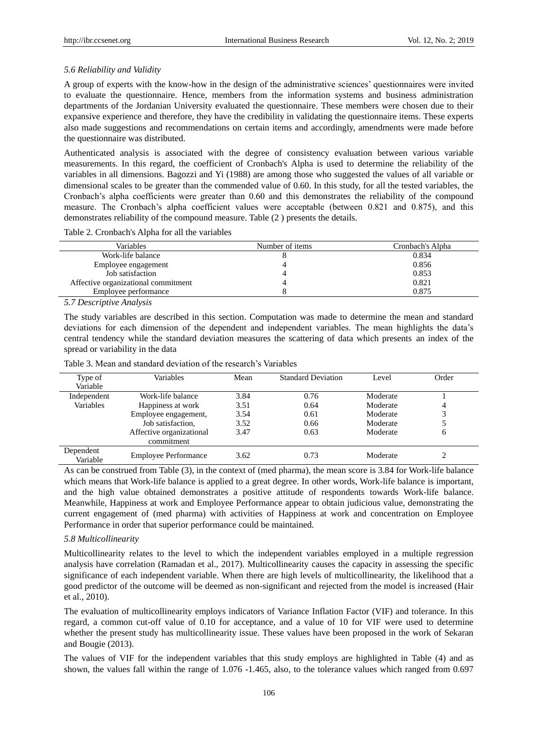# *5.6 Reliability and Validity*

A group of experts with the know-how in the design of the administrative sciences' questionnaires were invited to evaluate the questionnaire. Hence, members from the information systems and business administration departments of the Jordanian University evaluated the questionnaire. These members were chosen due to their expansive experience and therefore, they have the credibility in validating the questionnaire items. These experts also made suggestions and recommendations on certain items and accordingly, amendments were made before the questionnaire was distributed.

Authenticated analysis is associated with the degree of consistency evaluation between various variable measurements. In this regard, the coefficient of Cronbach's Alpha is used to determine the reliability of the variables in all dimensions. Bagozzi and Yi (1988) are among those who suggested the values of all variable or dimensional scales to be greater than the commended value of 0.60. In this study, for all the tested variables, the Cronbach's alpha coefficients were greater than 0.60 and this demonstrates the reliability of the compound measure. The Cronbach's alpha coefficient values were acceptable (between 0.821 and 0.875), and this demonstrates reliability of the compound measure. Table (2 ) presents the details.

Table 2. Cronbach's Alpha for all the variables

| Variables                           | Number of items | Cronbach's Alpha |
|-------------------------------------|-----------------|------------------|
| Work-life balance                   |                 | 0.834            |
| Employee engagement                 |                 | 0.856            |
| Job satisfaction                    |                 | 0.853            |
| Affective organizational commitment |                 | 0.821            |
| Employee performance                |                 | 0.875            |

*5.7 Descriptive Analysis*

The study variables are described in this section. Computation was made to determine the mean and standard deviations for each dimension of the dependent and independent variables. The mean highlights the data's central tendency while the standard deviation measures the scattering of data which presents an index of the spread or variability in the data

| Type of               | Variables                   | Mean | <b>Standard Deviation</b> | Level    | Order |
|-----------------------|-----------------------------|------|---------------------------|----------|-------|
| Variable              |                             |      |                           |          |       |
| Independent           | Work-life balance           | 3.84 | 0.76                      | Moderate |       |
| Variables             | Happiness at work           | 3.51 | 0.64                      | Moderate | 4     |
|                       | Employee engagement,        | 3.54 | 0.61                      | Moderate |       |
|                       | Job satisfaction,           | 3.52 | 0.66                      | Moderate |       |
|                       | Affective organizational    | 3.47 | 0.63                      | Moderate | O     |
|                       | commitment                  |      |                           |          |       |
| Dependent<br>Variable | <b>Employee Performance</b> | 3.62 | 0.73                      | Moderate |       |

Table 3. Mean and standard deviation of the research's Variables

As can be construed from Table (3), in the context of (med pharma), the mean score is 3.84 for Work-life balance which means that Work-life balance is applied to a great degree. In other words, Work-life balance is important, and the high value obtained demonstrates a positive attitude of respondents towards Work-life balance. Meanwhile, Happiness at work and Employee Performance appear to obtain judicious value, demonstrating the current engagement of (med pharma) with activities of Happiness at work and concentration on Employee Performance in order that superior performance could be maintained.

# *5.8 Multicollinearity*

Multicollinearity relates to the level to which the independent variables employed in a multiple regression analysis have correlation (Ramadan et al., 2017). Multicollinearity causes the capacity in assessing the specific significance of each independent variable. When there are high levels of multicollinearity, the likelihood that a good predictor of the outcome will be deemed as non-significant and rejected from the model is increased (Hair et al., 2010).

The evaluation of multicollinearity employs indicators of Variance Inflation Factor (VIF) and tolerance. In this regard, a common cut-off value of 0.10 for acceptance, and a value of 10 for VIF were used to determine whether the present study has multicollinearity issue. These values have been proposed in the work of Sekaran and Bougie (2013).

The values of VIF for the independent variables that this study employs are highlighted in Table (4) and as shown, the values fall within the range of 1.076 -1.465, also, to the tolerance values which ranged from 0.697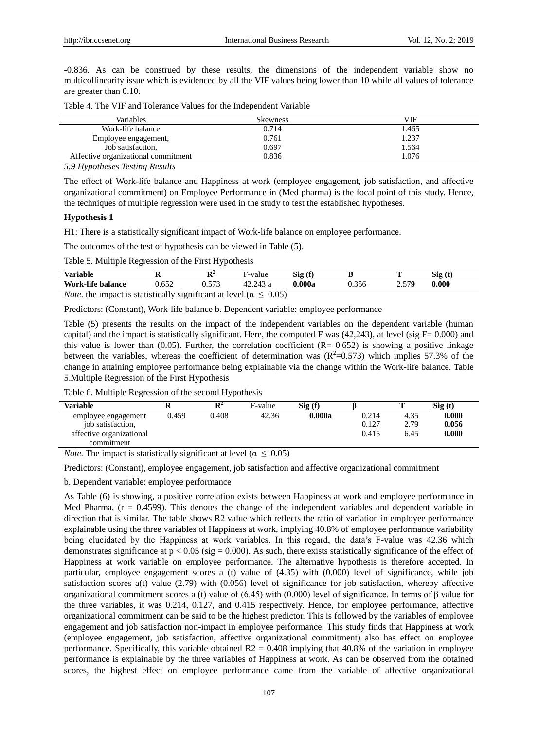-0.836. As can be construed by these results, the dimensions of the independent variable show no multicollinearity issue which is evidenced by all the VIF values being lower than 10 while all values of tolerance are greater than 0.10.

| Table 4. The VIF and Tolerance Values for the Independent Variable |  |  |  |
|--------------------------------------------------------------------|--|--|--|
|--------------------------------------------------------------------|--|--|--|

| Variables                                            | <b>Skewness</b> | VIF   |
|------------------------------------------------------|-----------------|-------|
| Work-life balance                                    | 0.714           | 1.465 |
| Employee engagement,                                 | 0.761           | 1.237 |
| Job satisfaction,                                    | 0.697           | 1.564 |
| Affective organizational commitment                  | 0.836           | 1.076 |
| $\epsilon$ $\alpha$ $\tau$<br>$\pi$ . $\mathbf n$ 1. |                 |       |

*5.9 Hypotheses Testing Results*

The effect of Work-life balance and Happiness at work (employee engagement, job satisfaction, and affective organizational commitment) on Employee Performance in (Med pharma) is the focal point of this study. Hence, the techniques of multiple regression were used in the study to test the established hypotheses.

# **Hypothesis 1**

H1: There is a statistically significant impact of Work-life balance on employee performance.

The outcomes of the test of hypothesis can be viewed in Table (5).

Table 5. Multiple Regression of the First Hypothesis

| .<br>T<br>Variable                              | .                                                                                  | m.<br>-                           | $\blacksquare$<br>≀alue<br><b>TTO</b>                                                                                              | Sig<br>$\epsilon$<br>л. |                        | œ               | $\sim$<br>$\left(4\right)$<br>519<br>. . |  |
|-------------------------------------------------|------------------------------------------------------------------------------------|-----------------------------------|------------------------------------------------------------------------------------------------------------------------------------|-------------------------|------------------------|-----------------|------------------------------------------|--|
| $\cdots$<br>$W_{\alpha r}$<br>.-lıfe<br>balance | $\epsilon$ $\epsilon$<br>ے رن∶ر                                                    | $- - -$<br>ັ້                     | $\bigcap$ $\bigcap$<br>a                                                                                                           | <b>000a</b>             | $\sim$ $\sim$<br>U.330 | 570<br><u>.</u> | 0.000                                    |  |
| <b>Contract Contract Contract Contract</b>      | the contract of the contract of the contract of<br>the contract of the contract of | <b>Contract Contract Contract</b> | the contract of the contract of the contract of<br>the contract of the contract of the contract of the contract of the contract of |                         |                        |                 |                                          |  |

*Note*, the impact is statistically significant at level ( $\alpha \leq 0.05$ )

Predictors: (Constant), Work-life balance b. Dependent variable: employee performance

Table (5) presents the results on the impact of the independent variables on the dependent variable (human capital) and the impact is statistically significant. Here, the computed F was  $(42,243)$ , at level (sig F= 0.000) and this value is lower than (0.05). Further, the correlation coefficient  $(R= 0.652)$  is showing a positive linkage between the variables, whereas the coefficient of determination was  $(R^2=0.573)$  which implies 57.3% of the change in attaining employee performance being explainable via the change within the Work-life balance. Table 5.Multiple Regression of the First Hypothesis

Table 6. Multiple Regression of the second Hypothesis

| <b>Variable</b>          |       | D <sup>4</sup> | F-value | Sig(f) |       |      | Sig(t) |
|--------------------------|-------|----------------|---------|--------|-------|------|--------|
| employee engagement      | 0.459 | 0.408          | 42.36   | 0.000a | 0.214 | 4.35 | 0.000  |
| job satisfaction.        |       |                |         |        | 0.127 | 2.79 | 0.056  |
| affective organizational |       |                |         |        | 0.415 | 6.45 | 0.000  |
| commitment               |       |                |         |        |       |      |        |

*Note*. The impact is statistically significant at level ( $\alpha \leq 0.05$ )

Predictors: (Constant), employee engagement, job satisfaction and affective organizational commitment

b. Dependent variable: employee performance

As Table (6) is showing, a positive correlation exists between Happiness at work and employee performance in Med Pharma,  $(r = 0.4599)$ . This denotes the change of the independent variables and dependent variable in direction that is similar. The table shows R2 value which reflects the ratio of variation in employee performance explainable using the three variables of Happiness at work, implying 40.8% of employee performance variability being elucidated by the Happiness at work variables. In this regard, the data's F-value was 42.36 which demonstrates significance at  $p < 0.05$  (sig = 0.000). As such, there exists statistically significance of the effect of Happiness at work variable on employee performance. The alternative hypothesis is therefore accepted. In particular, employee engagement scores a (t) value of (4.35) with (0.000) level of significance, while job satisfaction scores a(t) value (2.79) with (0.056) level of significance for job satisfaction, whereby affective organizational commitment scores a (t) value of (6.45) with (0.000) level of significance. In terms of β value for the three variables, it was 0.214, 0.127, and 0.415 respectively. Hence, for employee performance, affective organizational commitment can be said to be the highest predictor. This is followed by the variables of employee engagement and job satisfaction non-impact in employee performance. This study finds that Happiness at work (employee engagement, job satisfaction, affective organizational commitment) also has effect on employee performance. Specifically, this variable obtained  $R2 = 0.408$  implying that 40.8% of the variation in employee performance is explainable by the three variables of Happiness at work. As can be observed from the obtained scores, the highest effect on employee performance came from the variable of affective organizational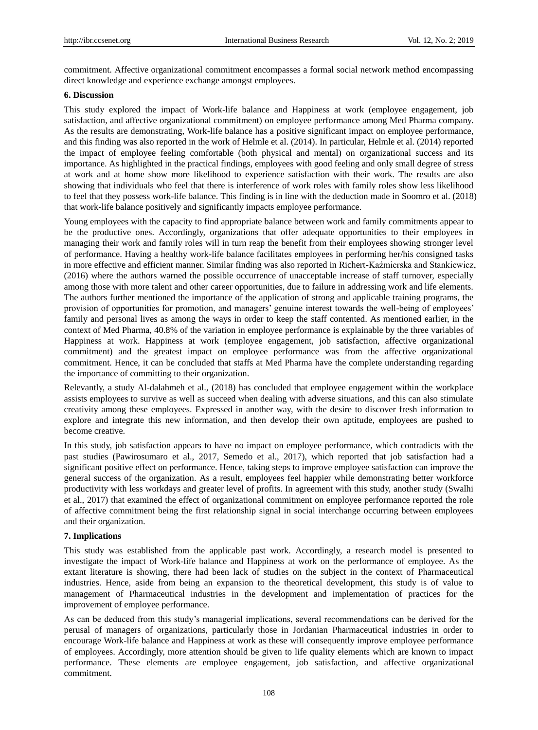commitment. Affective organizational commitment encompasses a formal social network method encompassing direct knowledge and experience exchange amongst employees.

#### **6. Discussion**

This study explored the impact of Work-life balance and Happiness at work (employee engagement, job satisfaction, and affective organizational commitment) on employee performance among Med Pharma company. As the results are demonstrating, Work-life balance has a positive significant impact on employee performance, and this finding was also reported in the work of Helmle et al. (2014). In particular, Helmle et al. (2014) reported the impact of employee feeling comfortable (both physical and mental) on organizational success and its importance. As highlighted in the practical findings, employees with good feeling and only small degree of stress at work and at home show more likelihood to experience satisfaction with their work. The results are also showing that individuals who feel that there is interference of work roles with family roles show less likelihood to feel that they possess work-life balance. This finding is in line with the deduction made in [Soomro](https://www.emeraldinsight.com/author/Soomro%2C+Aqeel+Ahmed) et al. (2018) that work-life balance positively and significantly impacts employee performance.

Young employees with the capacity to find appropriate balance between work and family commitments appear to be the productive ones. Accordingly, organizations that offer adequate opportunities to their employees in managing their work and family roles will in turn reap the benefit from their employees showing stronger level of performance. Having a healthy work-life balance facilitates employees in performing her/his consigned tasks in more effective and efficient manner. Similar finding was also reported in Richert-Kaźmierska and Stankiewicz, (2016) where the authors warned the possible occurrence of unacceptable increase of staff turnover, especially among those with more talent and other career opportunities, due to failure in addressing work and life elements. The authors further mentioned the importance of the application of strong and applicable training programs, the provision of opportunities for promotion, and managers' genuine interest towards the well-being of employees' family and personal lives as among the ways in order to keep the staff contented. As mentioned earlier, in the context of Med Pharma, 40.8% of the variation in employee performance is explainable by the three variables of Happiness at work. Happiness at work (employee engagement, job satisfaction, affective organizational commitment) and the greatest impact on employee performance was from the affective organizational commitment. Hence, it can be concluded that staffs at Med Pharma have the complete understanding regarding the importance of committing to their organization.

Relevantly, a study Al-dalahmeh et al., (2018) has concluded that employee engagement within the workplace assists employees to survive as well as succeed when dealing with adverse situations, and this can also stimulate creativity among these employees. Expressed in another way, with the desire to discover fresh information to explore and integrate this new information, and then develop their own aptitude, employees are pushed to become creative.

In this study, job satisfaction appears to have no impact on employee performance, which contradicts with the past studies (Pawirosumaro et al., 2017, Semedo et al., 2017), which reported that job satisfaction had a significant positive effect on performance. Hence, taking steps to improve employee satisfaction can improve the general success of the organization. As a result, employees feel happier while demonstrating better workforce productivity with less workdays and greater level of profits. In agreement with this study, another study (Swalhi et al., 2017) that examined the effect of organizational commitment on employee performance reported the role of affective commitment being the first relationship signal in social interchange occurring between employees and their organization.

## **7. Implications**

This study was established from the applicable past work. Accordingly, a research model is presented to investigate the impact of Work-life balance and Happiness at work on the performance of employee. As the extant literature is showing, there had been lack of studies on the subject in the context of Pharmaceutical industries. Hence, aside from being an expansion to the theoretical development, this study is of value to management of Pharmaceutical industries in the development and implementation of practices for the improvement of employee performance.

As can be deduced from this study's managerial implications, several recommendations can be derived for the perusal of managers of organizations, particularly those in Jordanian Pharmaceutical industries in order to encourage Work-life balance and Happiness at work as these will consequently improve employee performance of employees. Accordingly, more attention should be given to life quality elements which are known to impact performance. These elements are employee engagement, job satisfaction, and affective organizational commitment.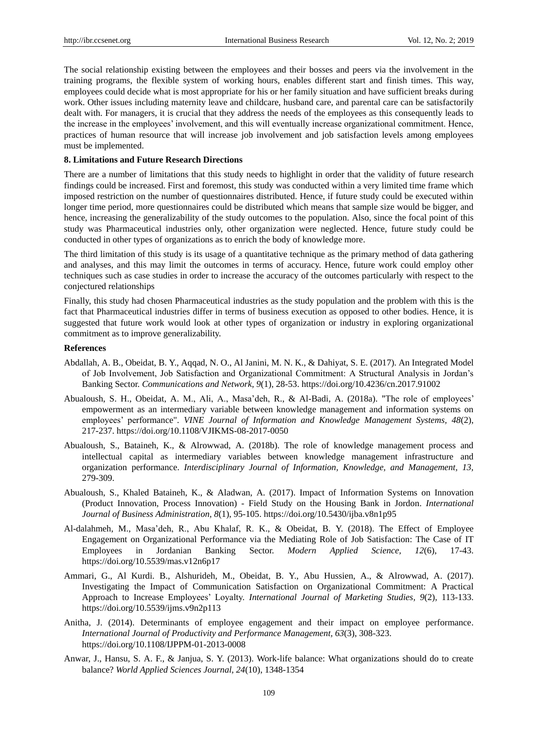The social relationship existing between the employees and their bosses and peers via the involvement in the training programs, the flexible system of working hours, enables different start and finish times. This way, employees could decide what is most appropriate for his or her family situation and have sufficient breaks during work. Other issues including maternity leave and childcare, husband care, and parental care can be satisfactorily dealt with. For managers, it is crucial that they address the needs of the employees as this consequently leads to the increase in the employees' involvement, and this will eventually increase organizational commitment. Hence, practices of human resource that will increase job involvement and job satisfaction levels among employees must be implemented.

## **8. Limitations and Future Research Directions**

There are a number of limitations that this study needs to highlight in order that the validity of future research findings could be increased. First and foremost, this study was conducted within a very limited time frame which imposed restriction on the number of questionnaires distributed. Hence, if future study could be executed within longer time period, more questionnaires could be distributed which means that sample size would be bigger, and hence, increasing the generalizability of the study outcomes to the population. Also, since the focal point of this study was Pharmaceutical industries only, other organization were neglected. Hence, future study could be conducted in other types of organizations as to enrich the body of knowledge more.

The third limitation of this study is its usage of a quantitative technique as the primary method of data gathering and analyses, and this may limit the outcomes in terms of accuracy. Hence, future work could employ other techniques such as case studies in order to increase the accuracy of the outcomes particularly with respect to the conjectured relationships

Finally, this study had chosen Pharmaceutical industries as the study population and the problem with this is the fact that Pharmaceutical industries differ in terms of business execution as opposed to other bodies. Hence, it is suggested that future work would look at other types of organization or industry in exploring organizational commitment as to improve generalizability.

# **References**

- Abdallah, A. B., Obeidat, B. Y., Aqqad, N. O., Al Janini, M. N. K., & Dahiyat, S. E. (2017). An Integrated Model of Job Involvement, Job Satisfaction and Organizational Commitment: A Structural Analysis in Jordan's Banking Sector. *Communications and Network, 9*[\(1\)](http://www.scirp.org/journal/Home.aspx?IssueID=8877#72599), 28-53. https://doi.org/10.4236/cn.2017.91002
- Abualoush, S. H., Obeidat, A. M., Ali, A., Masa'deh, R., & Al-Badi, A. (2018a). "The role of employees' empowerment as an intermediary variable between knowledge management and information systems on employees' performance". *VINE Journal of Information and Knowledge Management Systems, 48*(2), 217-237. https://doi.org/10.1108/VJIKMS-08-2017-0050
- Abualoush, S., Bataineh, K., & Alrowwad, A. (2018b). The role of knowledge management process and intellectual capital as intermediary variables between knowledge management infrastructure and organization performance. *Interdisciplinary Journal of Information, Knowledge, and Management, 13,*  279-309.
- Abualoush, S., Khaled Bataineh, K., & Aladwan, A. (2017). Impact of Information Systems on Innovation (Product Innovation, Process Innovation) - Field Study on the Housing Bank in Jordon. *International Journal of Business Administration, 8*(1), 95-105. https://doi.org/10.5430/ijba.v8n1p95
- Al-dalahmeh, M., Masa'deh, R., Abu Khalaf, R. K., & Obeidat, B. Y. (2018). The Effect of Employee Engagement on Organizational Performance via the Mediating Role of Job Satisfaction: The Case of IT Employees in Jordanian Banking Sector. *Modern Applied Science, 12*(6), 17-43. https://doi.org/10.5539/mas.v12n6p17
- Ammari, G., Al Kurdi. B., Alshurideh, M., Obeidat, B. Y., Abu Hussien, A., & Alrowwad, A. (2017). Investigating the Impact of Communication Satisfaction on Organizational Commitment: A Practical Approach to Increase Employees' Loyalty. *International Journal of Marketing Studies, 9*(2), 113-133. https://doi.org/10.5539/ijms.v9n2p113
- Anitha, J. (2014). Determinants of employee engagement and their impact on employee performance. *International Journal of Productivity and Performance Management, 63*(3), 308-323. https://doi.org/10.1108/IJPPM-01-2013-0008
- Anwar, J., Hansu, S. A. F., & Janjua, S. Y. (2013). Work-life balance: What organizations should do to create balance? *World Applied Sciences Journal, 24*(10), 1348-1354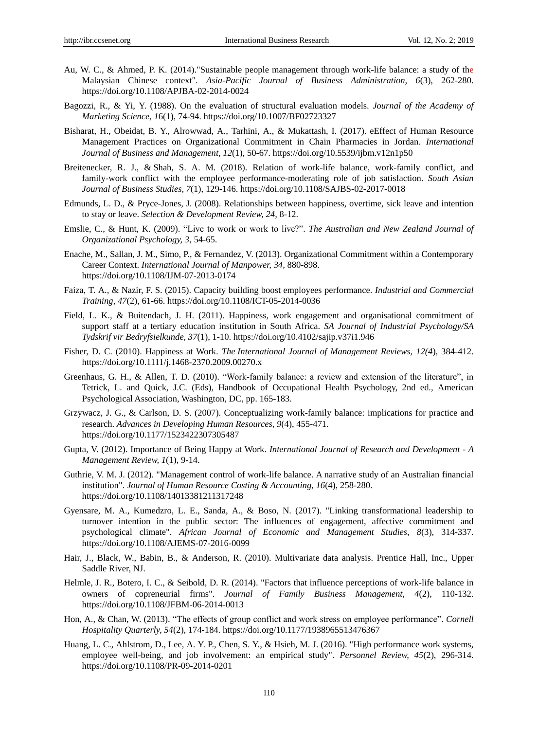- Au, W. C., & Ahmed, P. K. (2014)."Sustainable people management through work-life balance: a study of the Malaysian Chinese context". *Asia-Pacific Journal of Business Administration, 6*(3), 262-280. https://doi.org/10.1108/APJBA-02-2014-0024
- Bagozzi, R., & Yi, Y. (1988). On the evaluation of structural evaluation models. *Journal of the Academy of Marketing Science, 1*6(1), 74-94. https://doi.org/10.1007/BF02723327
- Bisharat, H., Obeidat, B. Y., Alrowwad, A., Tarhini, A., & Mukattash, I. (2017). eEffect of Human Resource Management Practices on Organizational Commitment in Chain Pharmacies in Jordan. *International Journal of Business and Management, 12*(1), 50-67. https://doi.org/10.5539/ijbm.v12n1p50
- [Breitenecker,](https://www.emeraldinsight.com/author/Breitenecker%2C+Robert+J) R. J., & [Shah,](https://www.emeraldinsight.com/author/Shah%2C+Syed+Afzal+Moshadi) S. A. M. (2018). Relation of work-life balance, work-family conflict, and family-work conflict with the employee performance-moderating role of job satisfaction. *South Asian Journal of Business Studies, 7*(1), 129-146. https://doi.org/10.1108/SAJBS-02-2017-0018
- Edmunds, L. D., & Pryce-Jones, J. (2008). Relationships between happiness, overtime, sick leave and intention to stay or leave. *Selection & Development Review, 24,* 8-12.
- Emslie, C., & Hunt, K. (2009). "Live to work or work to live?". *The Australian and New Zealand Journal of Organizational Psychology, 3*, 54-65.
- Enache, M., Sallan, J. M., Simo, P., & Fernandez, V. (2013). Organizational Commitment within a Contemporary Career Context. *International Journal of Manpower, 34,* 880-898. https://doi.org/10.1108/IJM-07-2013-0174
- Faiza, T. A., & Nazir, F. S. (2015). Capacity building boost employees performance. *Industrial and Commercial Training, 47*(2), 61-66. https://doi.org/10.1108/ICT-05-2014-0036
- Field, L. K., & Buitendach, J. H. (2011). Happiness, work engagement and organisational commitment of support staff at a tertiary education institution in South Africa. *SA Journal of Industrial Psychology/SA Tydskrif vir Bedryfsielkunde, 37*(1), 1-10. https://doi.org/10.4102/sajip.v37i1.946
- [Fisher,](https://onlinelibrary.wiley.com/action/doSearch?ContribAuthorStored=Fisher%2C+Cynthia+D) D. C. (2010). Happiness at Work. *The International Journal of Management Reviews, [12\(4](https://onlinelibrary.wiley.com/toc/14682370/2010/12/4)*), 384-412. https://doi.org/10.1111/j.1468-2370.2009.00270.x
- Greenhaus, G. H., & Allen, T. D. (2010). "Work-family balance: a review and extension of the literature", in Tetrick, L. and Quick, J.C. (Eds), Handbook of Occupational Health Psychology, 2nd ed., American Psychological Association, Washington, DC, pp. 165-183.
- Grzywacz, J. G., & Carlson, D. S. (2007). Conceptualizing work-family balance: implications for practice and research. *Advances in Developing Human Resources, 9*(4), 455-471. https://doi.org/10.1177/1523422307305487
- Gupta, V. (2012). Importance of Being Happy at Work. *International Journal of Research and Development - A Management Review, 1*(1), 9-14.
- Guthrie, V. M. J. (2012). "Management control of work-life balance. A narrative study of an Australian financial institution". *Journal of Human Resource Costing & Accounting, 16*(4), 258-280. https://doi.org/10.1108/14013381211317248
- Gyensare, M. A., Kumedzro, L. E., Sanda, A., & Boso, N. (2017). "Linking transformational leadership to turnover intention in the public sector: The influences of engagement, affective commitment and psychological climate". *African Journal of Economic and Management Studies, 8*(3), 314-337. https://doi.org/10.1108/AJEMS-07-2016-0099
- Hair, J., Black, W., Babin, B., & Anderson, R. (2010). Multivariate data analysis. Prentice Hall, Inc., Upper Saddle River, NJ.
- Helmle, J. R., Botero, I. C., & Seibold, D. R. (2014). "Factors that influence perceptions of work-life balance in owners of copreneurial firms". *Journal of Family Business Management, 4*(2), 110-132. https://doi.org/10.1108/JFBM-06-2014-0013
- Hon, A., & Chan, W. (2013). "The effects of group conflict and work stress on employee performance". *Cornell Hospitality Quarterly, 54*(2), 174-184. https://doi.org/10.1177/1938965513476367
- Huang, L. C., Ahlstrom, D., Lee, A. Y. P., Chen, S. Y., & Hsieh, M. J. (2016). "High performance work systems, employee well-being, and job involvement: an empirical study". *Personnel Review, 45*(2), 296-314. https://doi.org/10.1108/PR-09-2014-0201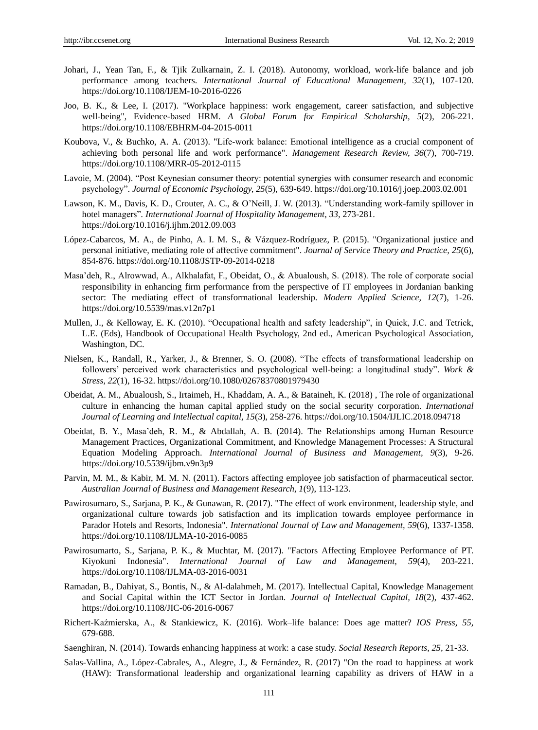- Johari, J., Yean Tan, F., & Tjik Zulkarnain, Z. I. (2018). Autonomy, workload, work-life balance and job performance among teachers. *International Journal of Educational Management, 32*(1), 107-120. https://doi.org/10.1108/IJEM-10-2016-0226
- Joo, B. K., & Lee, I. (2017). "Workplace happiness: work engagement, career satisfaction, and subjective well-being", Evidence-based HRM. *A Global Forum for Empirical Scholarship, 5*(2), 206-221. https://doi.org/10.1108/EBHRM-04-2015-0011
- Koubova, V., & Buchko, A. A. (2013). "Life-work balance: Emotional intelligence as a crucial component of achieving both personal life and work performance". *Management Research Review, 36*(7), 700-719. https://doi.org/10.1108/MRR-05-2012-0115
- Lavoie, M. (2004). "Post Keynesian consumer theory: potential synergies with consumer research and economic psychology". *Journal of Economic Psychology, 25*(5), 639-649. https://doi.org/10.1016/j.joep.2003.02.001
- Lawson, K. M., Davis, K. D., Crouter, A. C., & O'Neill, J. W. (2013). "Understanding work-family spillover in hotel managers"*. International Journal of Hospitality Management, 33,* 273-281. https://doi.org/10.1016/j.ijhm.2012.09.003
- López-Cabarcos, M. A., de Pinho, A. I. M. S., & Vázquez-Rodríguez, P. (2015). "Organizational justice and personal initiative, mediating role of affective commitment". *Journal of Service Theory and Practice, 25*(6), 854-876. https://doi.org/10.1108/JSTP-09-2014-0218
- Masa'deh, R., Alrowwad, A., Alkhalafat, F., Obeidat, O., & Abualoush, S. (2018). The role of corporate social responsibility in enhancing firm performance from the perspective of IT employees in Jordanian banking sector: The mediating effect of transformational leadership. *Modern Applied Science, 12*(7), 1-26. https://doi.org/10.5539/mas.v12n7p1
- Mullen, J., & Kelloway, E. K. (2010). "Occupational health and safety leadership", in Quick, J.C. and Tetrick, L.E. (Eds), Handbook of Occupational Health Psychology, 2nd ed., American Psychological Association, Washington, DC.
- Nielsen, K., Randall, R., Yarker, J., & Brenner, S. O. (2008). "The effects of transformational leadership on followers' perceived work characteristics and psychological well-being: a longitudinal study". *Work & Stress, 22*(1), 16-32. https://doi.org/10.1080/02678370801979430
- Obeidat, A. M., Abualoush, S., Irtaimeh, H., Khaddam, A. A., & Bataineh, K. (2018) , [The role of organizational](https://www.inderscienceonline.com/doi/abs/10.1504/IJLIC.2018.094718) [culture in enhancing the human capital applied study on the social security corporation.](https://www.inderscienceonline.com/doi/abs/10.1504/IJLIC.2018.094718) *International Journal of Learning and Intellectual capital, 15*(3), 258-276. https://doi.org/10.1504/IJLIC.2018.094718
- Obeidat, B. Y., Masa'deh, R. M., & Abdallah, A. B. (2014). The Relationships among Human Resource Management Practices, Organizational Commitment, and Knowledge Management Processes: A Structural Equation Modeling Approach. *International Journal of Business and Management, 9*(3), 9-26. https://doi.org/10.5539/ijbm.v9n3p9
- Parvin, M. M., & Kabir, M. M. N. (2011). Factors affecting employee job satisfaction of pharmaceutical sector. *Australian Journal of Business and Management Research, 1*(9), 113-123.
- [Pawirosumaro,](https://www.emeraldinsight.com/author/Pawirosumarto%2C+Suharno) S., [Sarjana,](https://www.emeraldinsight.com/author/Sarjana%2C+Purwanto+Katijan) P. K., & [Gunawan,](https://www.emeraldinsight.com/author/Gunawan%2C+Rachmad) R. (2017). "The effect of work environment, leadership style, and organizational culture towards job satisfaction and its implication towards employee performance in Parador Hotels and Resorts, Indonesia". *International Journal of Law and Management, 59*(6), 1337-1358. https://doi.org/10.1108/IJLMA-10-2016-0085
- Pawirosumarto, S., Sarjana, P. K., & Muchtar, M. (2017). "Factors Affecting Employee Performance of PT. Kiyokuni Indonesia". *International Journal of Law and Management, 59*(4), 203-221. https://doi.org/10.1108/IJLMA-03-2016-0031
- Ramadan, B., Dahiyat, S., Bontis, N., & Al-dalahmeh, M. (2017). Intellectual Capital, Knowledge Management and Social Capital within the ICT Sector in Jordan. *Journal of Intellectual Capital, 18*(2), 437-462. https://doi.org/10.1108/JIC-06-2016-0067
- Richert-Kaźmierska, A., & Stankiewicz, K. (2016). Work–life balance: Does age matter? *IOS Press, 55,*  679-688.
- Saenghiran, N. (2014). Towards enhancing happiness at work: a case study. *Social Research Reports, 25,* 21-33.
- Salas-Vallina, A., López-Cabrales, A., Alegre, J., & Fernández, R. (2017) "On the road to happiness at work (HAW): Transformational leadership and organizational learning capability as drivers of HAW in a